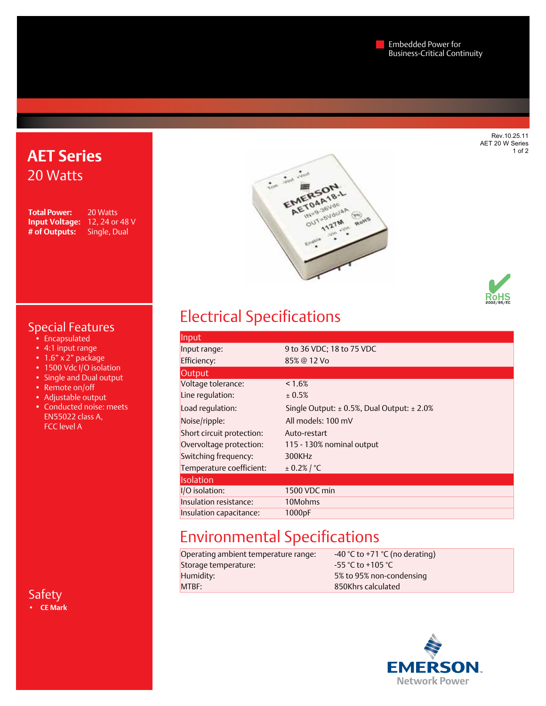Rev.10.25.11 AET 20 W Series 1 of 2

## **AET Series** 20 Watts

**Total Power:** 20 Watts **Input Voltage:** 12, 24 or 48 V **# of Outputs:** Single, Dual





### Special Features

- Encapsulated
- • 4:1 input range
- $\cdot$  1.6" x 2" package
- 1500 Vdc I/O isolation
- Single and Dual output
- Remote on/off
- Adjustable output
- • Conducted noise: meets EN55022 class A, FCC level A

Safety **• CE Mark**

# Electrical Specifications

| Input                     |                                            |
|---------------------------|--------------------------------------------|
| Input range:              | 9 to 36 VDC; 18 to 75 VDC                  |
| Efficiency:               | 85% @ 12 Vo                                |
| <b>Output</b>             |                                            |
| Voltage tolerance:        | $< 1.6\%$                                  |
| Line regulation:          | ± 0.5%                                     |
| Load regulation:          | Single Output: ± 0.5%, Dual Output: ± 2.0% |
| Noise/ripple:             | All models: 100 mV                         |
| Short circuit protection: | Auto-restart                               |
| Overvoltage protection:   | 115 - 130% nominal output                  |
| Switching frequency:      | 300KHz                                     |
| Temperature coefficient:  | $± 0.2%$ / °C                              |
| <b>Isolation</b>          |                                            |
| I/O isolation:            | 1500 VDC min                               |
| Insulation resistance:    | 10Mohms                                    |
| Insulation capacitance:   | 1000pF                                     |

# Environmental Specifications

| Operating ambient temperature range: | -40 °C to +71 °C (no derating) |
|--------------------------------------|--------------------------------|
| Storage temperature:                 | $-55$ °C to +105 °C            |
| Humidity:                            | 5% to 95% non-condensing       |
| MTBF:                                | 850Khrs calculated             |
|                                      |                                |